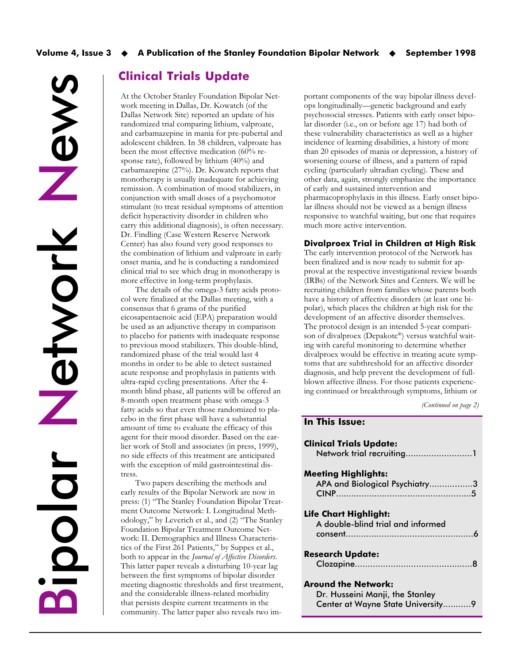News Network Network Bipolar

## Clinical Trials Update

At the October Stanley Foundation Bipolar Network meeting in Dallas, Dr. Kowatch (of the Dallas Network Site) reported an update of his randomized trial comparing lithium, valproate, and carbamazepine in mania for pre-pubertal and adolescent children. In 38 children, valproate has been the most effective medication (60% response rate), followed by lithium (40%) and carbamazepine (27%). Dr. Kowatch reports that monotherapy is usually inadequate for achieving remission. A combination of mood stabilizers, in conjunction with small doses of a psychomotor stimulant (to treat residual symptoms of attention deficit hyperactivity disorder in children who carry this additional diagnosis), is often necessary. Dr. Findling (Case Western Reserve Network Center) has also found very good responses to the combination of lithium and valproate in early onset mania, and he is conducting a randomized clinical trial to see which drug in monotherapy is more effective in long-term prophylaxis.

The details of the omega-3 fatty acids protocol were finalized at the Dallas meeting, with a consensus that 6 grams of the purified eicosapentaenoic acid (EPA) preparation would be used as an adjunctive therapy in comparison to placebo for patients with inadequate response to previous mood stabilizers. This double-blind, randomized phase of the trial would last 4 months in order to be able to detect sustained acute response and prophylaxis in patients with ultra-rapid cycling presentations. After the 4 month blind phase, all patients will be offered an 8-month open treatment phase with omega-3 fatty acids so that even those randomized to placebo in the first phase will have a substantial amount of time to evaluate the efficacy of this agent for their mood disorder. Based on the earlier work of Stoll and associates (in press, 1999), no side effects of this treatment are anticipated with the exception of mild gastrointestinal distress.

Two papers describing the methods and early results of the Bipolar Network are now in press: (1) "The Stanley Foundation Bipolar Treatment Outcome Network: I. Longitudinal Methodology," by Leverich et al., and (2) "The Stanley Foundation Bipolar Treatment Outcome Network: II. Demographics and Illness Characteristics of the First 261 Patients," by Suppes et al., both to appear in the Journal of Affective Disorders. This latter paper reveals a disturbing 10-year lag between the first symptoms of bipolar disorder meeting diagnostic thresholds and first treatment, and the considerable illness-related morbidity that persists despite current treatments in the community. The latter paper also reveals two im-

portant components of the way bipolar illness develops longitudinally—genetic background and early psychosocial stresses. Patients with early onset bipolar disorder (i.e., on or before age 17) had both of these vulnerability characteristics as well as a higher incidence of learning disabilities, a history of more than 20 episodes of mania or depression, a history of worsening course of illness, and a pattern of rapid cycling (particularly ultradian cycling). These and other data, again, strongly emphasize the importance of early and sustained intervention and pharmacoprophylaxis in this illness. Early onset bipolar illness should not be viewed as a benign illness responsive to watchful waiting, but one that requires much more active intervention.

#### Divalproex Trial in Children at High Risk

The early intervention protocol of the Network has been finalized and is now ready to submit for approval at the respective investigational review boards (IRBs) of the Network Sites and Centers. We will be recruiting children from families whose parents both have a history of affective disorders (at least one bipolar), which places the children at high risk for the development of an affective disorder themselves. The protocol design is an intended 5-year comparison of divalproex (Depakote®) versus watchful waiting with careful monitoring to determine whether divalproex would be effective in treating acute symptoms that are subthreshold for an affective disorder diagnosis, and help prevent the development of fullblown affective illness. For those patients experiencing continued or breakthrough symptoms, lithium or

(Continued on page 2)

# In This Issue: Clinical Trials Update:

| Network trial recruiting1                                                                   |  |
|---------------------------------------------------------------------------------------------|--|
| <b>Meeting Highlights:</b><br>APA and Biological Psychiatry3                                |  |
| Life Chart Highlight:<br>A double-blind trial and informed                                  |  |
| Research Update:                                                                            |  |
| Around the Network:<br>Dr. Husseini Manji, the Stanley<br>Center at Wayne State University9 |  |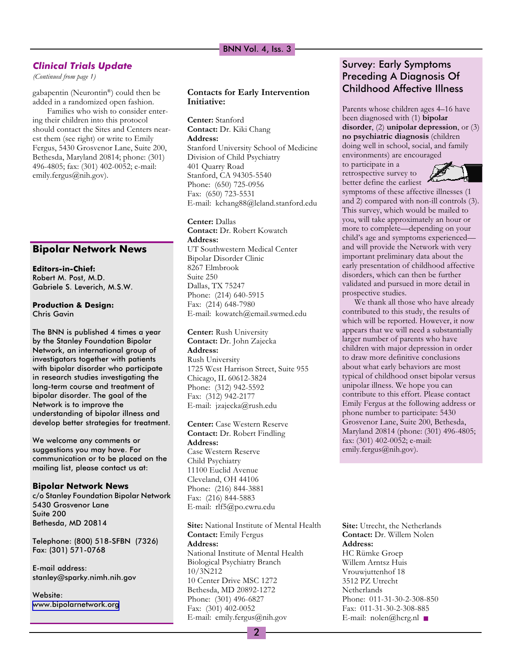### BNN Vol. 4, Iss. 3

### Clinical Trials Update

(Continued from page 1)

gabapentin (Neurontin®) could then be added in a randomized open fashion.

Families who wish to consider entering their children into this protocol should contact the Sites and Centers nearest them (see right) or write to Emily Fergus, 5430 Grosvenor Lane, Suite 200, Bethesda, Maryland 20814; phone: (301) 496-4805; fax: (301) 402-0052; e-mail: emily.fergus@nih.gov).

### Bipolar Network News

Editors-in-Chief: Robert M. Post, M.D. Gabriele S. Leverich, M.S.W.

#### Production & Design: Chris Gavin

The BNN is published 4 times a year by the Stanley Foundation Bipolar Network, an international group of investigators together with patients with bipolar disorder who participate in research studies investigating the long-term course and treatment of bipolar disorder. The goal of the Network is to improve the understanding of bipolar illness and develop better strategies for treatment.

We welcome any comments or suggestions you may have. For communication or to be placed on the mailing list, please contact us at:

#### Bipolar Network News

c/o Stanley Foundation Bipolar Network 5430 Grosvenor Lane Suite 200 Bethesda, MD 20814

Telephone: (800) 518-SFBN (7326) Fax: (301) 571-0768

E-mail address: stanley@sparky.nimh.nih.gov

Website: [www.bipolarnetwork.org](http://www.bipolarnetwork.org/)

### Contacts for Early Intervention Initiative:

Center: Stanford Contact: Dr. Kiki Chang Address: Stanford University School of Medicine Division of Child Psychiatry 401 Quarry Road Stanford, CA 94305-5540 Phone: (650) 725-0956 Fax: (650) 723-5531 E-mail: kchang88@leland.stanford.edu

Center: Dallas Contact: Dr. Robert Kowatch Address: UT Southwestern Medical Center Bipolar Disorder Clinic 8267 Elmbrook Suite 250 Dallas, TX 75247 Phone: (214) 640-5915 Fax: (214) 648-7980 E-mail: kowatch@email.swmed.edu

Center: Rush University Contact: Dr. John Zajecka Address: Rush University 1725 West Harrison Street, Suite 955 Chicago, IL 60612-3824 Phone: (312) 942-5592 Fax: (312) 942-2177 E-mail: jzajecka@rush.edu

Center: Case Western Reserve Contact: Dr. Robert Findling Address: Case Western Reserve Child Psychiatry 11100 Euclid Avenue Cleveland, OH 44106 Phone: (216) 844-3881 Fax: (216) 844-5883 E-mail: rlf5@po.cwru.edu

Site: National Institute of Mental Health Contact: Emily Fergus Address: National Institute of Mental Health Biological Psychiatry Branch 10/3N212 10 Center Drive MSC 1272 Bethesda, MD 20892-1272 Phone: (301) 496-6827 Fax: (301) 402-0052 E-mail: emily.fergus@nih.gov

## Survey: Early Symptoms Preceding A Diagnosis Of Childhood Affective Illness

Parents whose children ages 4–16 have been diagnosed with (1) bipolar disorder, (2) unipolar depression, or (3) no psychiatric diagnosis (children doing well in school, social, and family environments) are encouraged

to participate in a retrospective survey to better define the earliest



symptoms of these affective illnesses (1 and 2) compared with non-ill controls (3). This survey, which would be mailed to you, will take approximately an hour or more to complete—depending on your child's age and symptoms experiencedand will provide the Network with very important preliminary data about the early presentation of childhood affective disorders, which can then be further validated and pursued in more detail in prospective studies.

We thank all those who have already contributed to this study, the results of which will be reported. However, it now appears that we will need a substantially larger number of parents who have children with major depression in order to draw more definitive conclusions about what early behaviors are most typical of childhood onset bipolar versus unipolar illness. We hope you can contribute to this effort. Please contact Emily Fergus at the following address or phone number to participate: 5430 Grosvenor Lane, Suite 200, Bethesda, Maryland 20814 (phone: (301) 496-4805; fax: (301) 402-0052; e-mail: emily.fergus@nih.gov).

Site: Utrecht, the Netherlands Contact: Dr. Willem Nolen Address: HC Rümke Groep Willem Arntsz Huis Vrouwjuttenhof 18 3512 PZ Utrecht Netherlands Phone: 011-31-30-2-308-850 Fax: 011-31-30-2-308-885 E-mail: nolen@hcrg.nl ■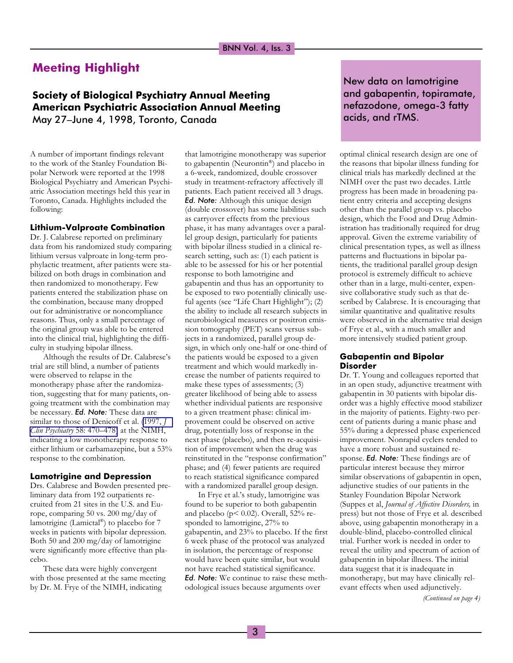## Meeting Highlight

## Society of Biological Psychiatry Annual Meeting American Psychiatric Association Annual Meeting May 27-June 4, 1998, Toronto, Canada

A number of important findings relevant to the work of the Stanley Foundation Bipolar Network were reported at the 1998 Biological Psychiatry and American Psychiatric Association meetings held this year in Toronto, Canada. Highlights included the following:

#### Lithium-Valproate Combination

Dr. J. Calabrese reported on preliminary data from his randomized study comparing lithium versus valproate in long-term prophylactic treatment, after patients were stabilized on both drugs in combination and then randomized to monotherapy. Few patients entered the stabilization phase on the combination, because many dropped out for administrative or noncompliance reasons. Thus, only a small percentage of the original group was able to be entered into the clinical trial, highlighting the difficulty in studying bipolar illness.

Although the results of Dr. Calabrese's trial are still blind, a number of patients were observed to relapse in the monotherapy phase after the randomization, suggesting that for many patients, ongoing treatment with the combination may be necessary. Ed. Note: These data are similar to those of Denicoff et al. [\(1997,](http://www.ncbi.nlm.nih.gov/entrez/query.fcgi?cmd=Retrieve&db=PubMed&list_uids=9413412&dopt=Abstract) J Clin Psychiatry 58: 470–478) at the NIMH, indicating a low monotherapy response to either lithium or carbamazepine, but a 53% response to the combination.

#### Lamotrigine and Depression

Drs. Calabrese and Bowden presented preliminary data from 192 outpatients recruited from 21 sites in the U.S. and Europe, comparing 50 vs. 200 mg/day of lamotrigine (Lamictal®) to placebo for 7 weeks in patients with bipolar depression. Both 50 and 200 mg/day of lamotrigine were significantly more effective than placebo.

These data were highly convergent with those presented at the same meeting by Dr. M. Frye of the NIMH, indicating

that lamotrigine monotherapy was superior to gabapentin (Neurontin®) and placebo in a 6-week, randomized, double crossover study in treatment-refractory affectively ill patients. Each patient received all 3 drugs. Ed. Note: Although this unique design (double crossover) has some liabilities such as carryover effects from the previous phase, it has many advantages over a parallel group design, particularly for patients with bipolar illness studied in a clinical research setting, such as: (1) each patient is able to be assessed for his or her potential response to both lamotrigine and gabapentin and thus has an opportunity to be exposed to two potentially clinically useful agents (see "Life Chart Highlight"); (2) the ability to include all research subjects in neurobiological measures or positron emission tomography (PET) scans versus subjects in a randomized, parallel group design, in which only one-half or one-third of the patients would be exposed to a given treatment and which would markedly increase the number of patients required to make these types of assessments; (3) greater likelihood of being able to assess whether individual patients are responsive to a given treatment phase: clinical improvement could be observed on active drug, potentially loss of response in the next phase (placebo), and then re-acquisition of improvement when the drug was reinstituted in the "response confirmation" phase; and (4) fewer patients are required to reach statistical significance compared with a randomized parallel group design.

In Frye et al.'s study, lamotrigine was found to be superior to both gabapentin and placebo (p< 0.02). Overall, 52% responded to lamotrigine, 27% to gabapentin, and 23% to placebo. If the first 6 week phase of the protocol was analyzed in isolation, the percentage of response would have been quite similar, but would not have reached statistical significance. Ed. Note: We continue to raise these methodological issues because arguments over

## New data on lamotrigine and gabapentin, topiramate, nefazodone, omega-3 fatty acids, and rTMS.

optimal clinical research design are one of the reasons that bipolar illness funding for clinical trials has markedly declined at the NIMH over the past two decades. Little progress has been made in broadening patient entry criteria and accepting designs other than the parallel group vs. placebo design, which the Food and Drug Administration has traditionally required for drug approval. Given the extreme variability of clinical presentation types, as well as illness patterns and fluctuations in bipolar patients, the traditional parallel group design protocol is extremely difficult to achieve other than in a large, multi-center, expensive collaborative study such as that described by Calabrese. It is encouraging that similar quantitative and qualitative results were observed in the alternative trial design of Frye et al., with a much smaller and more intensively studied patient group.

#### Gabapentin and Bipolar Disorder

Dr. T. Young and colleagues reported that in an open study, adjunctive treatment with gabapentin in 30 patients with bipolar disorder was a highly effective mood stabilizer in the majority of patients. Eighty-two percent of patients during a manic phase and 55% during a depressed phase experienced improvement. Nonrapid cyclers tended to have a more robust and sustained response. Ed. Note: These findings are of particular interest because they mirror similar observations of gabapentin in open, adjunctive studies of our patients in the Stanley Foundation Bipolar Network (Suppes et al, Journal of Affective Disorders, in press) but not those of Frye et al. described above, using gabapentin monotherapy in a double-blind, placebo-controlled clinical trial. Further work is needed in order to reveal the utility and spectrum of action of gabapentin in bipolar illness. The initial data suggest that it is inadequate in monotherapy, but may have clinically relevant effects when used adjunctively.

(Continued on page 4)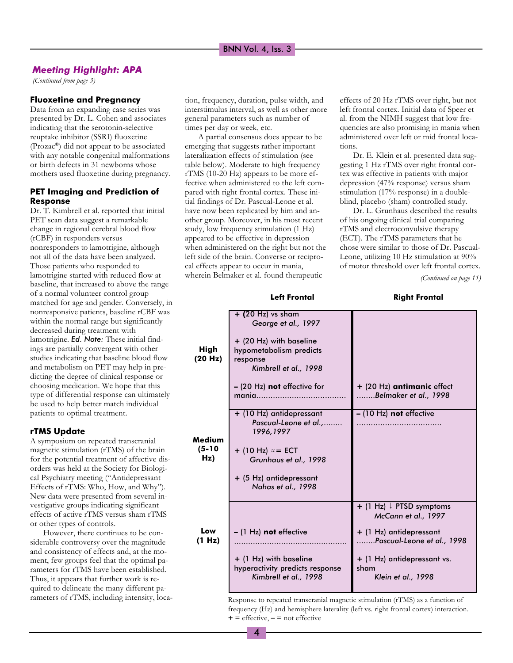### Meeting Highlight: APA

(Continued from page 3)

#### Fluoxetine and Pregnancy

Data from an expanding case series was presented by Dr. L. Cohen and associates indicating that the serotonin-selective reuptake inhibitor (SSRI) fluoxetine (Prozac®) did not appear to be associated with any notable congenital malformations or birth defects in 31 newborns whose mothers used fluoxetine during pregnancy.

#### PET Imaging and Prediction of Response

Dr. T. Kimbrell et al. reported that initial PET scan data suggest a remarkable change in regional cerebral blood flow (rCBF) in responders versus nonresponders to lamotrigine, although not all of the data have been analyzed. Those patients who responded to lamotrigine started with reduced flow at baseline, that increased to above the range of a normal volunteer control group matched for age and gender. Conversely, in nonresponsive patients, baseline rCBF was within the normal range but significantly decreased during treatment with lamotrigine. Ed. Note: These initial findings are partially convergent with other studies indicating that baseline blood flow and metabolism on PET may help in predicting the degree of clinical response or choosing medication. We hope that this type of differential response can ultimately be used to help better match individual patients to optimal treatment.

#### rTMS Update

A symposium on repeated transcranial magnetic stimulation (rTMS) of the brain for the potential treatment of affective disorders was held at the Society for Biological Psychiatry meeting ("Antidepressant Effects of rTMS: Who, How, and Why"). New data were presented from several investigative groups indicating significant effects of active rTMS versus sham rTMS or other types of controls.

However, there continues to be considerable controversy over the magnitude and consistency of effects and, at the moment, few groups feel that the optimal parameters for rTMS have been established. Thus, it appears that further work is required to delineate the many different parameters of rTMS, including intensity, location, frequency, duration, pulse width, and interstimulus interval, as well as other more general parameters such as number of times per day or week, etc.

A partial consensus does appear to be emerging that suggests rather important lateralization effects of stimulation (see table below). Moderate to high frequency rTMS (10-20 Hz) appears to be more effective when administered to the left compared with right frontal cortex. These initial findings of Dr. Pascual-Leone et al. have now been replicated by him and another group. Moreover, in his most recent study, low frequency stimulation (1 Hz) appeared to be effective in depression when administered on the right but not the left side of the brain. Converse or reciprocal effects appear to occur in mania, wherein Belmaker et al. found therapeutic

effects of 20 Hz rTMS over right, but not left frontal cortex. Initial data of Speer et al. from the NIMH suggest that low frequencies are also promising in mania when administered over left or mid frontal locations.

Dr. E. Klein et al. presented data suggesting 1 Hz rTMS over right frontal cortex was effective in patients with major depression (47% response) versus sham stimulation (17% response) in a doubleblind, placebo (sham) controlled study.

Dr. L. Grunhaus described the results of his ongoing clinical trial comparing rTMS and electroconvulsive therapy (ECT). The rTMS parameters that he chose were similar to those of Dr. Pascual-Leone, utilizing 10 Hz stimulation at 90% of motor threshold over left frontal cortex.

(Continued on page 11)

|                           | <b>Left Frontal</b>                                                                                                                                                    | <b>Right Frontal</b>                                                                                                                                                               |
|---------------------------|------------------------------------------------------------------------------------------------------------------------------------------------------------------------|------------------------------------------------------------------------------------------------------------------------------------------------------------------------------------|
| High<br>(20 Hz)           | $+$ (20 Hz) vs sham<br>George et al., 1997<br>+ (20 Hz) with baseline<br>hypometabolism predicts<br>response<br>Kimbrell et al., 1998                                  |                                                                                                                                                                                    |
|                           | - (20 Hz) not effective for<br>mania                                                                                                                                   | + (20 Hz) antimanic effect<br>Belmaker et al., 1998                                                                                                                                |
| Medium<br>$(5-10)$<br>Hz) | + (10 Hz) antidepressant<br>Pascual-Leone et al.,<br>1996, 1997<br>+ (10 Hz) $\approx$ = ECT<br>Grunhaus et al., 1998<br>+ (5 Hz) antidepressant<br>Nahas et al., 1998 | - (10 Hz) not effective                                                                                                                                                            |
| Low<br>(1 Hz)             | $-$ (1 Hz) not effective<br>+ (1 Hz) with baseline<br>hyperactivity predicts response<br>Kimbrell et al., 1998                                                         | $+$ (1 Hz) $\downarrow$ PTSD symptoms<br>McCann et al., 1997<br>+ (1 Hz) antidepressant<br>Pascual-Leone et al., 1998<br>+ (1 Hz) antidepressant vs.<br>sham<br>Klein et al., 1998 |

Response to repeated transcranial magnetic stimulation (rTMS) as a function of frequency (Hz) and hemisphere laterality (left vs. right frontal cortex) interaction.  $+ =$  effective,  $- =$  not effective

4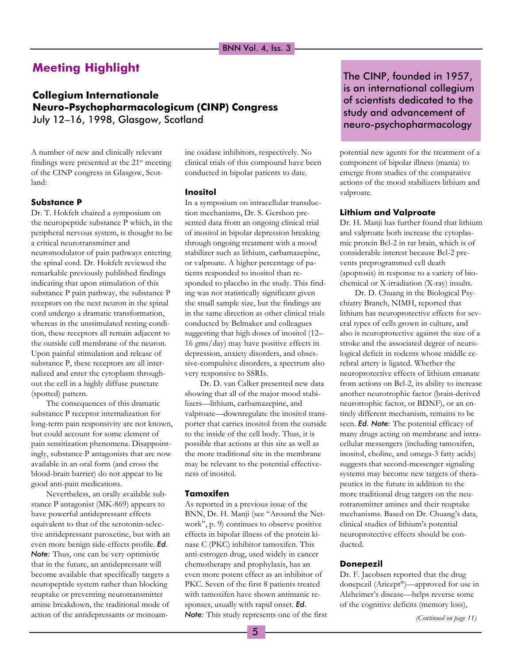# Meeting Highlight

Collegium Internationale Neuro-Psychopharmacologicum (CINP) Congress July 12-16, 1998, Glasgow, Scotland

A number of new and clinically relevant findings were presented at the  $21^{st}$  meeting of the CINP congress in Glasgow, Scotland:

### Substance P

Dr. T. Hokfelt chaired a symposium on the neuropeptide substance P which, in the peripheral nervous system, is thought to be a critical neurotransmitter and neuromodulator of pain pathways entering the spinal cord. Dr. Hokfelt reviewed the remarkable previously published findings indicating that upon stimulation of this substance P pain pathway, the substance P receptors on the next neuron in the spinal cord undergo a dramatic transformation, whereas in the unstimulated resting condition, these receptors all remain adjacent to the outside cell membrane of the neuron. Upon painful stimulation and release of substance P, these receptors are all internalized and enter the cytoplasm throughout the cell in a highly diffuse punctate (spotted) pattern.

The consequences of this dramatic substance P receptor internalization for long-term pain responsivity are not known, but could account for some element of pain sensitization phenomena. Disappointingly, substance P antagonists that are now available in an oral form (and cross the blood-brain barrier) do not appear to be good anti-pain medications.

Nevertheless, an orally available substance P antagonist (MK-869) appears to have powerful antidepressant effects equivalent to that of the serotonin-selective antidepressant paroxetine, but with an even more benign side-effects profile. Ed. Note: Thus, one can be very optimistic that in the future, an antidepressant will become available that specifically targets a neuropeptide system rather than blocking reuptake or preventing neurotransmitter amine breakdown, the traditional mode of action of the antidepressants or monoamine oxidase inhibitors, respectively. No clinical trials of this compound have been conducted in bipolar patients to date.

## Inositol

In a symposium on intracellular transduction mechanisms, Dr. S. Gershon presented data from an ongoing clinical trial of inositol in bipolar depression breaking through ongoing treatment with a mood stabilizer such as lithium, carbamazepine, or valproate. A higher percentage of patients responded to inositol than responded to placebo in the study. This finding was not statistically significant given the small sample size, but the findings are in the same direction as other clinical trials conducted by Belmaker and colleagues suggesting that high doses of inositol (12 16 gms/day) may have positive effects in depression, anxiety disorders, and obsessive-compulsive disorders, a spectrum also very responsive to SSRIs.

Dr. D. van Calker presented new data showing that all of the major mood stabilizers-lithium, carbamazepine, and valproate-downregulate the inositol transporter that carries inositol from the outside to the inside of the cell body. Thus, it is possible that actions at this site as well as the more traditional site in the membrane may be relevant to the potential effectiveness of inositol.

#### Tamoxifen

As reported in a previous issue of the BNN, Dr. H. Manji (see "Around the Network", p. 9) continues to observe positive effects in bipolar illness of the protein kinase C (PKC) inhibitor tamoxifen. This anti-estrogen drug, used widely in cancer chemotherapy and prophylaxis, has an even more potent effect as an inhibitor of PKC. Seven of the first 8 patients treated with tamoxifen have shown antimanic responses, usually with rapid onset. Ed. Note: This study represents one of the first

## The CINP, founded in 1957, is an international collegium of scientists dedicated to the study and advancement of neuro-psychopharmacology

potential new agents for the treatment of a component of bipolar illness (mania) to emerge from studies of the comparative actions of the mood stabilizers lithium and valproate.

#### Lithium and Valproate

Dr. H. Manji has further found that lithium and valproate both increase the cytoplasmic protein Bcl-2 in rat brain, which is of considerable interest because Bcl-2 prevents preprogrammed cell death (apoptosis) in response to a variety of biochemical or X-irradiation (X-ray) insults.

Dr. D. Chuang in the Biological Psychiatry Branch, NIMH, reported that lithium has neuroprotective effects for several types of cells grown in culture, and also is neuroprotective against the size of a stroke and the associated degree of neurological deficit in rodents whose middle cerebral artery is ligated. Whether the neuroprotective effects of lithium emanate from actions on Bcl-2, its ability to increase another neurotrophic factor (brain-derived neurotrophic factor, or BDNF), or an entirely different mechanism, remains to be seen. Ed. Note: The potential efficacy of many drugs acting on membrane and intracellular messengers (including tamoxifen, inositol, choline, and omega-3 fatty acids) suggests that second-messenger signaling systems may become new targets of therapeutics in the future in addition to the more traditional drug targets on the neurotransmitter amines and their reuptake mechanisms. Based on Dr. Chuang's data, clinical studies of lithium's potential neuroprotective effects should be conducted.

#### Donepezil

Dr. F. Jacobsen reported that the drug donepezil (Aricept®)—approved for use in Alzheimer's disease-helps reverse some of the cognitive deficits (memory loss),

(Continued on page 11)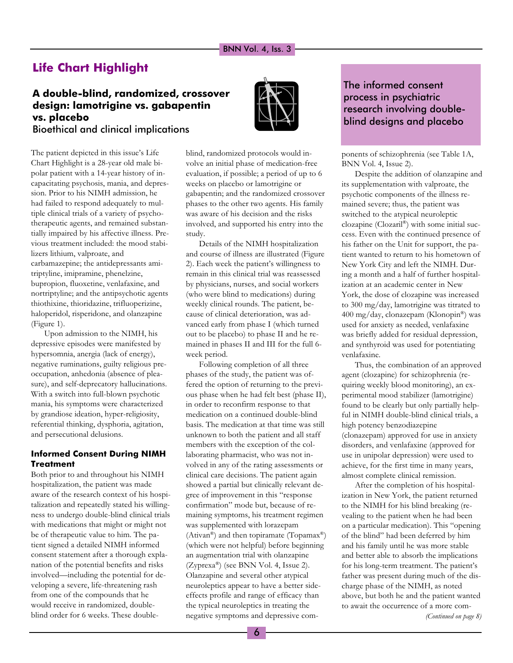# Life Chart Highlight

## A double-blind, randomized, crossover design: lamotrigine vs. gabapentin vs. placebo Bioethical and clinical implications



The patient depicted in this issue's Life Chart Highlight is a 28-year old male bipolar patient with a 14-year history of incapacitating psychosis, mania, and depression. Prior to his NIMH admission, he had failed to respond adequately to multiple clinical trials of a variety of psychotherapeutic agents, and remained substantially impaired by his affective illness. Previous treatment included: the mood stabilizers lithium, valproate, and carbamazepine; the antidepressants amitriptyline, imipramine, phenelzine, bupropion, fluoxetine, venlafaxine, and nortriptyline; and the antipsychotic agents thiothixine, thioridazine, trifluoperizine, haloperidol, risperidone, and olanzapine (Figure 1).

Upon admission to the NIMH, his depressive episodes were manifested by hypersomnia, anergia (lack of energy), negative ruminations, guilty religious preoccupation, anhedonia (absence of pleasure), and self-deprecatory hallucinations. With a switch into full-blown psychotic mania, his symptoms were characterized by grandiose ideation, hyper-religiosity, referential thinking, dysphoria, agitation, and persecutional delusions.

## Informed Consent During NIMH **Treatment**

Both prior to and throughout his NIMH hospitalization, the patient was made aware of the research context of his hospitalization and repeatedly stated his willingness to undergo double-blind clinical trials with medications that might or might not be of therapeutic value to him. The patient signed a detailed NIMH informed consent statement after a thorough explanation of the potential benefits and risks involved—including the potential for developing a severe, life-threatening rash from one of the compounds that he would receive in randomized, doubleblind order for 6 weeks. These doubleblind, randomized protocols would involve an initial phase of medication-free evaluation, if possible; a period of up to 6 weeks on placebo or lamotrigine or gabapentin; and the randomized crossover phases to the other two agents. His family was aware of his decision and the risks involved, and supported his entry into the study.

Details of the NIMH hospitalization and course of illness are illustrated (Figure 2). Each week the patient's willingness to remain in this clinical trial was reassessed by physicians, nurses, and social workers (who were blind to medications) during weekly clinical rounds. The patient, because of clinical deterioration, was advanced early from phase I (which turned out to be placebo) to phase II and he remained in phases II and III for the full 6 week period.

Following completion of all three phases of the study, the patient was offered the option of returning to the previous phase when he had felt best (phase II), in order to reconfirm response to that medication on a continued double-blind basis. The medication at that time was still unknown to both the patient and all staff members with the exception of the collaborating pharmacist, who was not involved in any of the rating assessments or clinical care decisions. The patient again showed a partial but clinically relevant degree of improvement in this "response" confirmation" mode but, because of remaining symptoms, his treatment regimen was supplemented with lorazepam (Ativan®) and then topiramate (Topamax®) (which were not helpful) before beginning an augmentation trial with olanzapine (Zyprexa®) (see BNN Vol. 4, Issue 2). Olanzapine and several other atypical neuroleptics appear to have a better sideeffects profile and range of efficacy than the typical neuroleptics in treating the negative symptoms and depressive com-

## The informed consent process in psychiatric research involving doubleblind designs and placebo

ponents of schizophrenia (see Table 1A, BNN Vol. 4, Issue 2).

Despite the addition of olanzapine and its supplementation with valproate, the psychotic components of the illness remained severe; thus, the patient was switched to the atypical neuroleptic clozapine (Clozaril®) with some initial success. Even with the continued presence of his father on the Unit for support, the patient wanted to return to his hometown of New York City and left the NIMH. During a month and a half of further hospitalization at an academic center in New York, the dose of clozapine was increased to 300 mg/day, lamotrigine was titrated to 400 mg/day, clonazepam (Klonopin®) was used for anxiety as needed, venlafaxine was briefly added for residual depression, and synthyroid was used for potentiating venlafaxine.

Thus, the combination of an approved agent (clozapine) for schizophrenia (requiring weekly blood monitoring), an experimental mood stabilizer (lamotrigine) found to be clearly but only partially helpful in NIMH double-blind clinical trials, a high potency benzodiazepine (clonazepam) approved for use in anxiety disorders, and venlafaxine (approved for use in unipolar depression) were used to achieve, for the first time in many years, almost complete clinical remission.

After the completion of his hospitalization in New York, the patient returned to the NIMH for his blind breaking (revealing to the patient when he had been on a particular medication). This "opening of the blind" had been deferred by him and his family until he was more stable and better able to absorb the implications for his long-term treatment. The patient's father was present during much of the discharge phase of the NIMH, as noted above, but both he and the patient wanted to await the occurrence of a more com- (Continued on page 8)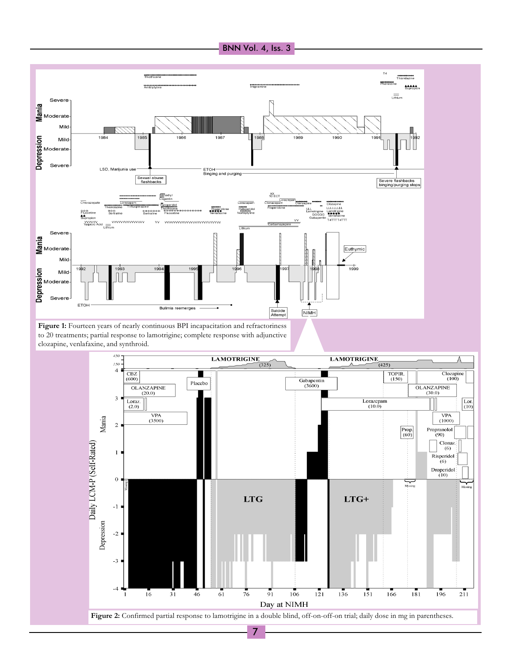





7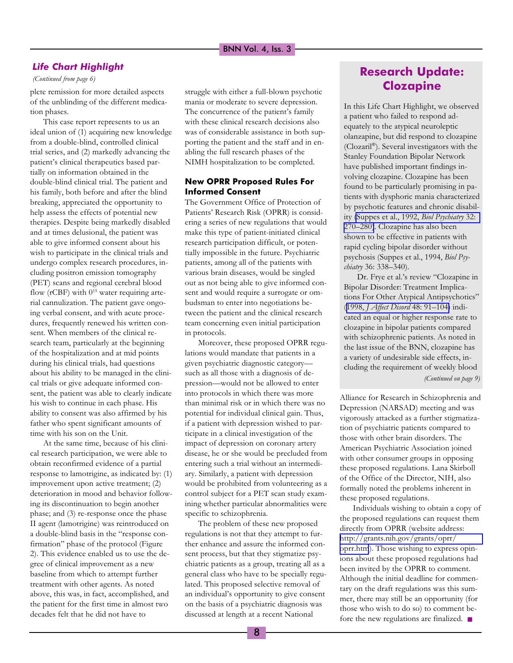### Life Chart Highlight

(Continued from page 6)

plete remission for more detailed aspects of the unblinding of the different medication phases.

This case report represents to us an ideal union of (1) acquiring new knowledge from a double-blind, controlled clinical trial series, and (2) markedly advancing the patient's clinical therapeutics based partially on information obtained in the double-blind clinical trial. The patient and his family, both before and after the blind breaking, appreciated the opportunity to help assess the effects of potential new therapies. Despite being markedly disabled and at times delusional, the patient was able to give informed consent about his wish to participate in the clinical trials and undergo complex research procedures, including positron emission tomography (PET) scans and regional cerebral blood flow (rCBF) with 0<sup>15</sup> water requiring arterial cannulization. The patient gave ongoing verbal consent, and with acute procedures, frequently renewed his written consent. When members of the clinical research team, particularly at the beginning of the hospitalization and at mid points during his clinical trials, had questions about his ability to be managed in the clinical trials or give adequate informed consent, the patient was able to clearly indicate his wish to continue in each phase. His ability to consent was also affirmed by his father who spent significant amounts of time with his son on the Unit.

At the same time, because of his clinical research participation, we were able to obtain reconfirmed evidence of a partial response to lamotrigine, as indicated by: (1) improvement upon active treatment; (2) deterioration in mood and behavior following its discontinuation to begin another phase; and (3) re-response once the phase II agent (lamotrigine) was reintroduced on a double-blind basis in the "response confirmation" phase of the protocol (Figure 2). This evidence enabled us to use the degree of clinical improvement as a new baseline from which to attempt further treatment with other agents. As noted above, this was, in fact, accomplished, and the patient for the first time in almost two decades felt that he did not have to

struggle with either a full-blown psychotic mania or moderate to severe depression. The concurrence of the patient's family with these clinical research decisions also was of considerable assistance in both supporting the patient and the staff and in enabling the full research phases of the NIMH hospitalization to be completed.

### New OPRR Proposed Rules For Informed Consent

The Government Office of Protection of Patients' Research Risk (OPRR) is considering a series of new regulations that would make this type of patient-initiated clinical research participation difficult, or potentially impossible in the future. Psychiatric patients, among all of the patients with various brain diseases, would be singled out as not being able to give informed consent and would require a surrogate or ombudsman to enter into negotiations between the patient and the clinical research team concerning even initial participation in protocols.

Moreover, these proposed OPRR regulations would mandate that patients in a given psychiatric diagnostic category such as all those with a diagnosis of depression-would not be allowed to enter into protocols in which there was more than minimal risk or in which there was no potential for individual clinical gain. Thus, if a patient with depression wished to participate in a clinical investigation of the impact of depression on coronary artery disease, he or she would be precluded from entering such a trial without an intermediary. Similarly, a patient with depression would be prohibited from volunteering as a control subject for a PET scan study examining whether particular abnormalities were specific to schizophrenia.

The problem of these new proposed regulations is not that they attempt to further enhance and assure the informed consent process, but that they stigmatize psychiatric patients as a group, treating all as a general class who have to be specially regulated. This proposed selective removal of an individual's opportunity to give consent on the basis of a psychiatric diagnosis was discussed at length at a recent National

# Research Update: Clozapine

In this Life Chart Highlight, we observed a patient who failed to respond adequately to the atypical neuroleptic olanzapine, but did respond to clozapine (Clozaril®). Several investigators with the Stanley Foundation Bipolar Network have published important findings involving clozapine. Clozapine has been found to be particularly promising in patients with dysphoric mania characterized by psychotic features and chronic disability [\(Suppes et al., 1992,](http://www.ncbi.nlm.nih.gov/entrez/query.fcgi?cmd=Retrieve&db=PubMed&list_uids=1420643&dopt=Abstract) Biol Psychiatry 32: 270-280). Clozapine has also been shown to be effective in patients with rapid cycling bipolar disorder without psychosis (Suppes et al., 1994, Biol Psychiatry 36: 338-340).

(Continued on page 9) Dr. Frye et al.'s review "Clozapine in Bipolar Disorder: Treatment Implications For Other Atypical Antipsychotics (1998, [J Affect Disord](http://www.ncbi.nlm.nih.gov/entrez/query.fcgi?cmd=Retrieve&db=PubMed&list_uids=9543198&dopt=Abstract) 48: 91-104) indicated an equal or higher response rate to clozapine in bipolar patients compared with schizophrenic patients. As noted in the last issue of the BNN, clozapine has a variety of undesirable side effects, including the requirement of weekly blood

Alliance for Research in Schizophrenia and Depression (NARSAD) meeting and was vigorously attacked as a further stigmatization of psychiatric patients compared to those with other brain disorders. The American Psychiatric Association joined with other consumer groups in opposing these proposed regulations. Lana Skirboll of the Office of the Director, NIH, also formally noted the problems inherent in these proposed regulations.

Individuals wishing to obtain a copy of the proposed regulations can request them directly from OPRR (website address: [http://grants.nih.gov/grants/oprr/](http://grants.nih.gov/grants/oprr/oprr.htm) [oprr.htm](http://grants.nih.gov/grants/oprr/oprr.htm)). Those wishing to express opinions about these proposed regulations had been invited by the OPRR to comment. Although the initial deadline for commentary on the draft regulations was this summer, there may still be an opportunity (for those who wish to do so) to comment before the new regulations are finalized. ■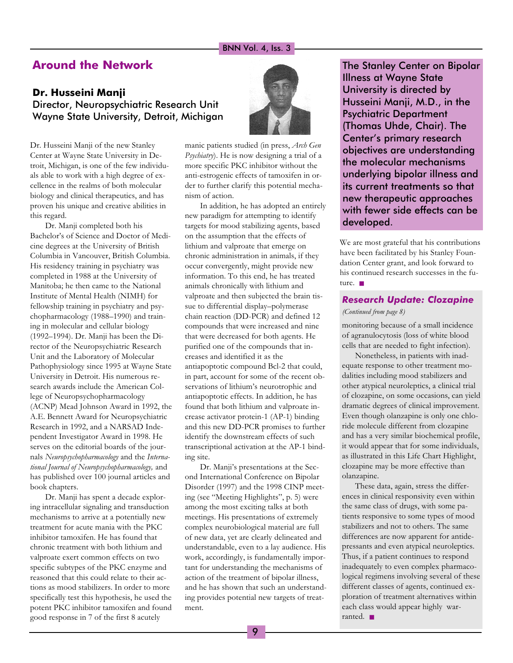## Around the Network

## Dr. Husseini Manji Director, Neuropsychiatric Research Unit Wayne State University, Detroit, Michigan

Dr. Husseini Manji of the new Stanley Center at Wayne State University in Detroit, Michigan, is one of the few individuals able to work with a high degree of excellence in the realms of both molecular biology and clinical therapeutics, and has proven his unique and creative abilities in this regard.

Dr. Manji completed both his Bachelor's of Science and Doctor of Medicine degrees at the University of British Columbia in Vancouver, British Columbia. His residency training in psychiatry was completed in 1988 at the University of Manitoba; he then came to the National Institute of Mental Health (NIMH) for fellowship training in psychiatry and psychopharmacology (1988-1990) and training in molecular and cellular biology (1992-1994). Dr. Manji has been the Director of the Neuropsychiatric Research Unit and the Laboratory of Molecular Pathophysiology since 1995 at Wayne State University in Detroit. His numerous research awards include the American College of Neuropsychopharmacology (ACNP) Mead Johnson Award in 1992, the A.E. Bennett Award for Neuropsychiatric Research in 1992, and a NARSAD Independent Investigator Award in 1998. He serves on the editorial boards of the journals Neuropsychopharmacology and the International Journal of Neuropsychopharmacology, and has published over 100 journal articles and book chapters.

Dr. Manji has spent a decade exploring intracellular signaling and transduction mechanisms to arrive at a potentially new treatment for acute mania with the PKC inhibitor tamoxifen. He has found that chronic treatment with both lithium and valproate exert common effects on two specific subtypes of the PKC enzyme and reasoned that this could relate to their actions as mood stabilizers. In order to more specifically test this hypothesis, he used the potent PKC inhibitor tamoxifen and found good response in 7 of the first 8 acutely



manic patients studied (in press, Arch Gen Psychiatry). He is now designing a trial of a more specific PKC inhibitor without the anti-estrogenic effects of tamoxifen in order to further clarify this potential mechanism of action.

In addition, he has adopted an entirely new paradigm for attempting to identify targets for mood stabilizing agents, based on the assumption that the effects of lithium and valproate that emerge on chronic administration in animals, if they occur convergently, might provide new information. To this end, he has treated animals chronically with lithium and valproate and then subjected the brain tissue to differential display-polymerase chain reaction (DD-PCR) and defined 12 compounds that were increased and nine that were decreased for both agents. He purified one of the compounds that increases and identified it as the antiapoptotic compound Bcl-2 that could, in part, account for some of the recent observations of lithium's neurotrophic and antiapoptotic effects. In addition, he has found that both lithium and valproate increase activator protein-1 (AP-1) binding and this new DD-PCR promises to further identify the downstream effects of such transcriptional activation at the AP-1 binding site.

Dr. Manji's presentations at the Second International Conference on Bipolar Disorder (1997) and the 1998 CINP meeting (see "Meeting Highlights", p. 5) were among the most exciting talks at both meetings. His presentations of extremely complex neurobiological material are full of new data, yet are clearly delineated and understandable, even to a lay audience. His work, accordingly, is fundamentally important for understanding the mechanisms of action of the treatment of bipolar illness, and he has shown that such an understanding provides potential new targets of treatment.

The Stanley Center on Bipolar Illness at Wayne State University is directed by Husseini Manji, M.D., in the Psychiatric Department (Thomas Uhde, Chair). The Center's primary research objectives are understanding the molecular mechanisms underlying bipolar illness and its current treatments so that new therapeutic approaches with fewer side effects can be developed.

We are most grateful that his contributions have been facilitated by his Stanley Foundation Center grant, and look forward to his continued research successes in the future. ■

## Research Update: Clozapine

### (Continued from page 8)

monitoring because of a small incidence of agranulocytosis (loss of white blood cells that are needed to fight infection).

Nonetheless, in patients with inadequate response to other treatment modalities including mood stabilizers and other atypical neuroleptics, a clinical trial of clozapine, on some occasions, can yield dramatic degrees of clinical improvement. Even though olanzapine is only one chloride molecule different from clozapine and has a very similar biochemical profile, it would appear that for some individuals, as illustrated in this Life Chart Highlight, clozapine may be more effective than olanzapine.

These data, again, stress the differences in clinical responsivity even within the same class of drugs, with some patients responsive to some types of mood stabilizers and not to others. The same differences are now apparent for antidepressants and even atypical neuroleptics. Thus, if a patient continues to respond inadequately to even complex pharmacological regimens involving several of these different classes of agents, continued exploration of treatment alternatives within each class would appear highly warranted. ■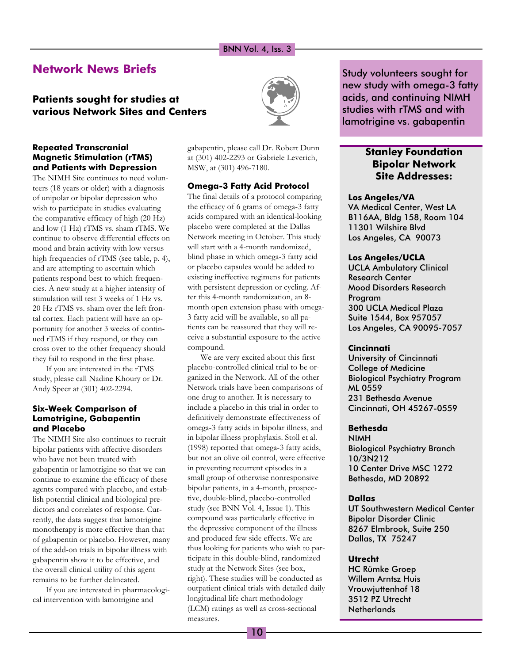## Network News Briefs

## Patients sought for studies at various Network Sites and Centers



Repeated Transcranial Magnetic Stimulation (rTMS) and Patients with Depression

The NIMH Site continues to need volunteers (18 years or older) with a diagnosis of unipolar or bipolar depression who wish to participate in studies evaluating the comparative efficacy of high (20 Hz) and low (1 Hz) rTMS vs. sham rTMS. We continue to observe differential effects on mood and brain activity with low versus high frequencies of rTMS (see table, p. 4), and are attempting to ascertain which patients respond best to which frequencies. A new study at a higher intensity of stimulation will test 3 weeks of 1 Hz vs. 20 Hz rTMS vs. sham over the left frontal cortex. Each patient will have an opportunity for another 3 weeks of continued rTMS if they respond, or they can cross over to the other frequency should they fail to respond in the first phase.

If you are interested in the rTMS study, please call Nadine Khoury or Dr. Andy Speer at (301) 402-2294.

### Six-Week Comparison of Lamotrigine, Gabapentin and Placebo

The NIMH Site also continues to recruit bipolar patients with affective disorders who have not been treated with gabapentin or lamotrigine so that we can continue to examine the efficacy of these agents compared with placebo, and establish potential clinical and biological predictors and correlates of response. Currently, the data suggest that lamotrigine monotherapy is more effective than that of gabapentin or placebo. However, many of the add-on trials in bipolar illness with gabapentin show it to be effective, and the overall clinical utility of this agent remains to be further delineated.

If you are interested in pharmacological intervention with lamotrigine and

gabapentin, please call Dr. Robert Dunn at (301) 402-2293 or Gabriele Leverich, MSW, at (301) 496-7180.

### Omega-3 Fatty Acid Protocol

The final details of a protocol comparing the efficacy of 6 grams of omega-3 fatty acids compared with an identical-looking placebo were completed at the Dallas Network meeting in October. This study will start with a 4-month randomized, blind phase in which omega-3 fatty acid or placebo capsules would be added to existing ineffective regimens for patients with persistent depression or cycling. After this 4-month randomization, an 8 month open extension phase with omega-3 fatty acid will be available, so all patients can be reassured that they will receive a substantial exposure to the active compound.

We are very excited about this first placebo-controlled clinical trial to be organized in the Network. All of the other Network trials have been comparisons of one drug to another. It is necessary to include a placebo in this trial in order to definitively demonstrate effectiveness of omega-3 fatty acids in bipolar illness, and in bipolar illness prophylaxis. Stoll et al. (1998) reported that omega-3 fatty acids, but not an olive oil control, were effective in preventing recurrent episodes in a small group of otherwise nonresponsive bipolar patients, in a 4-month, prospective, double-blind, placebo-controlled study (see BNN Vol. 4, Issue 1). This compound was particularly effective in the depressive component of the illness and produced few side effects. We are thus looking for patients who wish to participate in this double-blind, randomized study at the Network Sites (see box, right). These studies will be conducted as outpatient clinical trials with detailed daily longitudinal life chart methodology (LCM) ratings as well as cross-sectional measures.

Study volunteers sought for new study with omega-3 fatty acids, and continuing NIMH studies with rTMS and with lamotrigine vs. gabapentin

## Stanley Foundation Bipolar Network Site Addresses:

#### Los Angeles/VA

VA Medical Center, West LA B116AA, Bldg 158, Room 104 11301 Wilshire Blvd Los Angeles, CA 90073

#### Los Angeles/UCLA

UCLA Ambulatory Clinical Research Center Mood Disorders Research Program 300 UCLA Medical Plaza Suite 1544, Box 957057 Los Angeles, CA 90095-7057

### **Cincinnati**

University of Cincinnati College of Medicine Biological Psychiatry Program ML 0559 231 Bethesda Avenue Cincinnati, OH 45267-0559

## Bethesda

NIMH Biological Psychiatry Branch 10/3N212 10 Center Drive MSC 1272 Bethesda, MD 20892

#### Dallas

UT Southwestern Medical Center Bipolar Disorder Clinic 8267 Elmbrook, Suite 250 Dallas, TX 75247

#### Utrecht

HC Rümke Groep Willem Arntsz Huis Vrouwjuttenhof 18 3512 PZ Utrecht **Netherlands**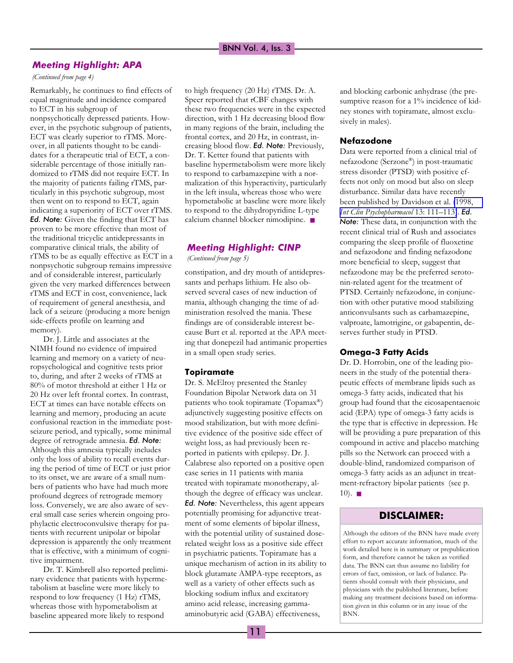## Meeting Highlight: APA

#### (Continued from page 4)

Remarkably, he continues to find effects of equal magnitude and incidence compared to ECT in his subgroup of nonpsychotically depressed patients. However, in the psychotic subgroup of patients, ECT was clearly superior to rTMS. Moreover, in all patients thought to be candidates for a therapeutic trial of ECT, a considerable percentage of those initially randomized to rTMS did not require ECT. In the majority of patients failing rTMS, particularly in this psychotic subgroup, most then went on to respond to ECT, again indicating a superiority of ECT over rTMS. Ed. Note: Given the finding that ECT has proven to be more effective than most of the traditional tricyclic antidepressants in comparative clinical trials, the ability of rTMS to be as equally effective as ECT in a nonpsychotic subgroup remains impressive and of considerable interest, particularly given the very marked differences between rTMS and ECT in cost, convenience, lack of requirement of general anesthesia, and lack of a seizure (producing a more benign side-effects profile on learning and memory).

Dr. J. Little and associates at the NIMH found no evidence of impaired learning and memory on a variety of neuropsychological and cognitive tests prior to, during, and after 2 weeks of rTMS at 80% of motor threshold at either 1 Hz or 20 Hz over left frontal cortex. In contrast, ECT at times can have notable effects on learning and memory, producing an acute confusional reaction in the immediate postseizure period, and typically, some minimal degree of retrograde amnesia. Ed. Note: Although this amnesia typically includes only the loss of ability to recall events during the period of time of ECT or just prior to its onset, we are aware of a small numbers of patients who have had much more profound degrees of retrograde memory loss. Conversely, we are also aware of several small case series wherein ongoing prophylactic electroconvulsive therapy for patients with recurrent unipolar or bipolar depression is apparently the only treatment that is effective, with a minimum of cognitive impairment.

Dr. T. Kimbrell also reported preliminary evidence that patients with hypermetabolism at baseline were more likely to respond to low frequency (1 Hz) rTMS, whereas those with hypometabolism at baseline appeared more likely to respond

to high frequency (20 Hz) rTMS. Dr. A. Speer reported that rCBF changes with these two frequencies were in the expected direction, with 1 Hz decreasing blood flow in many regions of the brain, including the frontal cortex, and 20 Hz, in contrast, increasing blood flow. Ed. Note: Previously, Dr. T. Ketter found that patients with baseline hypermetabolism were more likely to respond to carbamazepine with a normalization of this hyperactivity, particularly in the left insula, whereas those who were hypometabolic at baseline were more likely to respond to the dihydropyridine L-type calcium channel blocker nimodipine. ■

## Meeting Highlight: CINP

(Continued from page 5)

constipation, and dry mouth of antidepressants and perhaps lithium. He also observed several cases of new induction of mania, although changing the time of administration resolved the mania. These findings are of considerable interest because Burt et al. reported at the APA meeting that donepezil had antimanic properties in a small open study series.

### **Topiramate**

Dr. S. McElroy presented the Stanley Foundation Bipolar Network data on 31 patients who took topiramate (Topamax®) adjunctively suggesting positive effects on mood stabilization, but with more definitive evidence of the positive side effect of weight loss, as had previously been reported in patients with epilepsy. Dr. J. Calabrese also reported on a positive open case series in 11 patients with mania treated with topiramate monotherapy, although the degree of efficacy was unclear. Ed. Note: Nevertheless, this agent appears potentially promising for adjunctive treatment of some elements of bipolar illness, with the potential utility of sustained doserelated weight loss as a positive side effect in psychiatric patients. Topiramate has a unique mechanism of action in its ability to block glutamate AMPA-type receptors, as well as a variety of other effects such as blocking sodium influx and excitatory amino acid release, increasing gammaaminobutyric acid (GABA) effectiveness,

and blocking carbonic anhydrase (the presumptive reason for a 1% incidence of kidney stones with topiramate, almost exclusively in males).

#### Nefazodone

Data were reported from a clinical trial of nefazodone (Serzone®) in post-traumatic stress disorder (PTSD) with positive effects not only on mood but also on sleep disturbance. Similar data have recently been published by Davidson et al. [\(1998,](http://www.ncbi.nlm.nih.gov/entrez/query.fcgi?cmd=Retrieve&db=PubMed&list_uids=9690977&dopt=Abstract) [Int Clin Psychopharmacol](http://www.ncbi.nlm.nih.gov/entrez/query.fcgi?cmd=Retrieve&db=PubMed&list_uids=9690977&dopt=Abstract) 13:  $111-113$ ). Ed. Note: These data, in conjunction with the recent clinical trial of Rush and associates comparing the sleep profile of fluoxetine and nefazodone and finding nefazodone more beneficial to sleep, suggest that nefazodone may be the preferred serotonin-related agent for the treatment of PTSD. Certainly nefazodone, in conjunction with other putative mood stabilizing anticonvulsants such as carbamazepine, valproate, lamotrigine, or gabapentin, deserves further study in PTSD.

#### Omega-3 Fatty Acids

Dr. D. Horrobin, one of the leading pioneers in the study of the potential therapeutic effects of membrane lipids such as omega-3 fatty acids, indicated that his group had found that the eicosapentaenoic acid (EPA) type of omega-3 fatty acids is the type that is effective in depression. He will be providing a pure preparation of this compound in active and placebo matching pills so the Network can proceed with a double-blind, randomized comparison of omega-3 fatty acids as an adjunct in treatment-refractory bipolar patients (see p.  $10$ .  $\blacksquare$ 

## DISCLAIMER:

Although the editors of the BNN have made every effort to report accurate information, much of the work detailed here is in summary or prepublication form, and therefore cannot be taken as verified data. The BNN can thus assume no liability for errors of fact, omission, or lack of balance. Patients should consult with their physicians, and physicians with the published literature, before making any treatment decisions based on information given in this column or in any issue of the BNN.